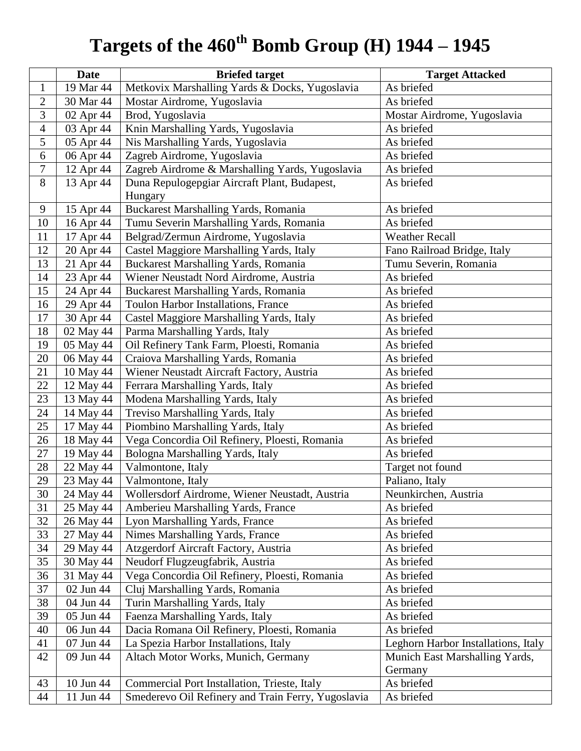## **Targets of the 460th Bomb Group (H) 1944 – 1945**

|                | <b>Date</b>            | <b>Briefed target</b>                              | <b>Target Attacked</b>              |
|----------------|------------------------|----------------------------------------------------|-------------------------------------|
| 1              | 19 Mar 44              | Metkovix Marshalling Yards & Docks, Yugoslavia     | As briefed                          |
| $\overline{2}$ | 30 Mar 44              | Mostar Airdrome, Yugoslavia                        | As briefed                          |
| 3              | 02 Apr 44              | Brod, Yugoslavia                                   | Mostar Airdrome, Yugoslavia         |
| $\overline{4}$ | 03 Apr 44              | Knin Marshalling Yards, Yugoslavia                 | As briefed                          |
| 5              | 05 Apr 44              | Nis Marshalling Yards, Yugoslavia                  | As briefed                          |
| 6              | 06 Apr 44              | Zagreb Airdrome, Yugoslavia                        | As briefed                          |
| 7              | 12 Apr 44              | Zagreb Airdrome & Marshalling Yards, Yugoslavia    | As briefed                          |
| 8              | 13 Apr 44              | Duna Repulogepgiar Aircraft Plant, Budapest,       | As briefed                          |
|                |                        | Hungary                                            |                                     |
| 9              | 15 Apr 44              | Buckarest Marshalling Yards, Romania               | As briefed                          |
| 10             | 16 Apr 44              | Tumu Severin Marshalling Yards, Romania            | As briefed                          |
| 11             | 17 Apr 44              | Belgrad/Zermun Airdrome, Yugoslavia                | <b>Weather Recall</b>               |
| 12             | 20 Apr 44              | Castel Maggiore Marshalling Yards, Italy           | Fano Railroad Bridge, Italy         |
| 13             | 21 Apr 44              | Buckarest Marshalling Yards, Romania               | Tumu Severin, Romania               |
| 14             | 23 Apr 44              | Wiener Neustadt Nord Airdrome, Austria             | As briefed                          |
| 15             | 24 Apr 44              | Buckarest Marshalling Yards, Romania               | As briefed                          |
| 16             | 29 Apr 44              | Toulon Harbor Installations, France                | As briefed                          |
| 17             | 30 Apr 44              | Castel Maggiore Marshalling Yards, Italy           | As briefed                          |
| 18             | 02 May 44              | Parma Marshalling Yards, Italy                     | As briefed                          |
| 19             | 05 May 44              | Oil Refinery Tank Farm, Ploesti, Romania           | As briefed                          |
| 20             | 06 May 44              | Craiova Marshalling Yards, Romania                 | As briefed                          |
| 21             | 10 May 44              | Wiener Neustadt Aircraft Factory, Austria          | As briefed                          |
| 22             | 12 May 44              | Ferrara Marshalling Yards, Italy                   | As briefed                          |
| 23             | 13 May 44              | Modena Marshalling Yards, Italy                    | As briefed                          |
| 24             | 14 May 44              | Treviso Marshalling Yards, Italy                   | As briefed                          |
| 25             | 17 May 44              | Piombino Marshalling Yards, Italy                  | As briefed                          |
| 26             | 18 May 44              | Vega Concordia Oil Refinery, Ploesti, Romania      | As briefed                          |
| 27             | 19 May 44              | Bologna Marshalling Yards, Italy                   | As briefed                          |
| 28             | 22 May 44              | Valmontone, Italy                                  | Target not found                    |
| 29             | 23 May 44              | Valmontone, Italy                                  | Paliano, Italy                      |
| 30             | 24 May $\overline{44}$ | Wollersdorf Airdrome, Wiener Neustadt, Austria     | Neunkirchen, Austria                |
| 31             | 25 May 44              | Amberieu Marshalling Yards, France                 | As briefed                          |
| 32             | 26 May 44              | Lyon Marshalling Yards, France                     | As briefed                          |
| 33             | 27 May 44              | Nimes Marshalling Yards, France                    | As briefed                          |
| 34             | 29 May 44              | Atzgerdorf Aircraft Factory, Austria               | As briefed                          |
| 35             | 30 May 44              | Neudorf Flugzeugfabrik, Austria                    | As briefed                          |
| 36             | 31 May 44              | Vega Concordia Oil Refinery, Ploesti, Romania      | As briefed                          |
| 37             | 02 Jun 44              | Cluj Marshalling Yards, Romania                    | As briefed                          |
| 38             | 04 Jun 44              | Turin Marshalling Yards, Italy                     | As briefed                          |
| 39             | 05 Jun 44              | Faenza Marshalling Yards, Italy                    | As briefed                          |
| 40             | 06 Jun 44              | Dacia Romana Oil Refinery, Ploesti, Romania        | As briefed                          |
| 41             | 07 Jun 44              | La Spezia Harbor Installations, Italy              | Leghorn Harbor Installations, Italy |
| 42             | 09 Jun 44              | Altach Motor Works, Munich, Germany                | Munich East Marshalling Yards,      |
|                |                        |                                                    | Germany                             |
| 43             | 10 Jun 44              | Commercial Port Installation, Trieste, Italy       | As briefed                          |
| 44             | 11 Jun 44              | Smederevo Oil Refinery and Train Ferry, Yugoslavia | As briefed                          |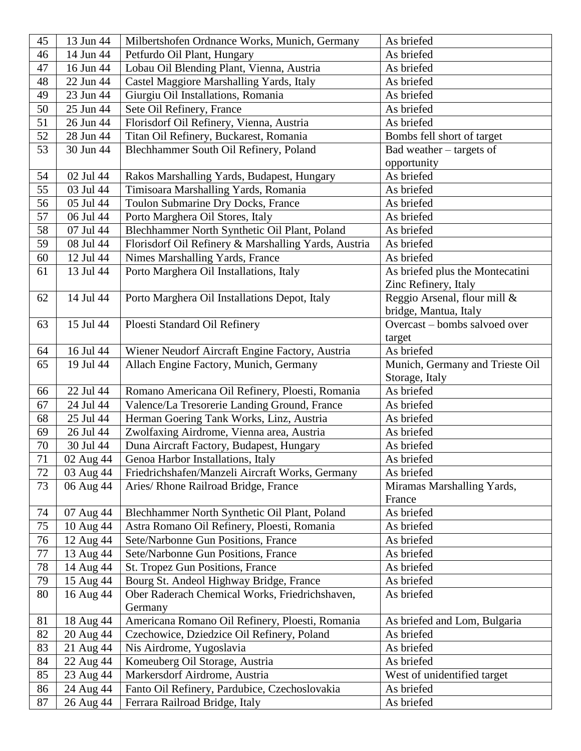| 45     | 13 Jun 44 | Milbertshofen Ordnance Works, Munich, Germany        | As briefed                      |
|--------|-----------|------------------------------------------------------|---------------------------------|
| 46     | 14 Jun 44 | Petfurdo Oil Plant, Hungary                          | As briefed                      |
| 47     | 16 Jun 44 | Lobau Oil Blending Plant, Vienna, Austria            | As briefed                      |
| 48     | 22 Jun 44 | Castel Maggiore Marshalling Yards, Italy             | As briefed                      |
| 49     | 23 Jun 44 | Giurgiu Oil Installations, Romania                   | As briefed                      |
| 50     | 25 Jun 44 | Sete Oil Refinery, France                            | As briefed                      |
| 51     | 26 Jun 44 | Florisdorf Oil Refinery, Vienna, Austria             | As briefed                      |
| 52     | 28 Jun 44 | Titan Oil Refinery, Buckarest, Romania               | Bombs fell short of target      |
| 53     | 30 Jun 44 | Blechhammer South Oil Refinery, Poland               | Bad weather – targets of        |
|        |           |                                                      | opportunity                     |
| 54     | 02 Jul 44 | Rakos Marshalling Yards, Budapest, Hungary           | As briefed                      |
| 55     | 03 Jul 44 | Timisoara Marshalling Yards, Romania                 | As briefed                      |
| 56     | 05 Jul 44 | Toulon Submarine Dry Docks, France                   | As briefed                      |
| 57     | 06 Jul 44 | Porto Marghera Oil Stores, Italy                     | As briefed                      |
| 58     | 07 Jul 44 | Blechhammer North Synthetic Oil Plant, Poland        | As briefed                      |
| 59     | 08 Jul 44 | Florisdorf Oil Refinery & Marshalling Yards, Austria | As briefed                      |
| 60     | 12 Jul 44 | Nimes Marshalling Yards, France                      | As briefed                      |
| 61     | 13 Jul 44 | Porto Marghera Oil Installations, Italy              | As briefed plus the Montecatini |
|        |           |                                                      | Zinc Refinery, Italy            |
| 62     | 14 Jul 44 | Porto Marghera Oil Installations Depot, Italy        | Reggio Arsenal, flour mill &    |
|        |           |                                                      | bridge, Mantua, Italy           |
| 63     | 15 Jul 44 | Ploesti Standard Oil Refinery                        | Overcast - bombs salvoed over   |
|        |           |                                                      | target                          |
| 64     | 16 Jul 44 | Wiener Neudorf Aircraft Engine Factory, Austria      | As briefed                      |
| 65     | 19 Jul 44 | Allach Engine Factory, Munich, Germany               | Munich, Germany and Trieste Oil |
|        |           |                                                      | Storage, Italy                  |
| 66     | 22 Jul 44 | Romano Americana Oil Refinery, Ploesti, Romania      | As briefed                      |
| 67     | 24 Jul 44 | Valence/La Tresorerie Landing Ground, France         | As briefed                      |
| 68     | 25 Jul 44 | Herman Goering Tank Works, Linz, Austria             | As briefed                      |
| 69     | 26 Jul 44 | Zwolfaxing Airdrome, Vienna area, Austria            | As briefed                      |
| 70     | 30 Jul 44 | Duna Aircraft Factory, Budapest, Hungary             | As briefed                      |
| $71\,$ | 02 Aug 44 | Genoa Harbor Installations, Italy                    | As briefed                      |
| 72     | 03 Aug 44 | Friedrichshafen/Manzeli Aircraft Works, Germany      | As briefed                      |
| 73     | 06 Aug 44 | Aries/ Rhone Railroad Bridge, France                 | Miramas Marshalling Yards,      |
|        |           |                                                      | France                          |
| 74     | 07 Aug 44 | Blechhammer North Synthetic Oil Plant, Poland        | As briefed                      |
| 75     | 10 Aug 44 | Astra Romano Oil Refinery, Ploesti, Romania          | As briefed                      |
| 76     | 12 Aug 44 | Sete/Narbonne Gun Positions, France                  | As briefed                      |
| 77     | 13 Aug 44 | Sete/Narbonne Gun Positions, France                  | As briefed                      |
| 78     | 14 Aug 44 | St. Tropez Gun Positions, France                     | As briefed                      |
| 79     | 15 Aug 44 | Bourg St. Andeol Highway Bridge, France              | As briefed                      |
| 80     | 16 Aug 44 | Ober Raderach Chemical Works, Friedrichshaven,       | As briefed                      |
|        |           | Germany                                              |                                 |
| 81     | 18 Aug 44 | Americana Romano Oil Refinery, Ploesti, Romania      | As briefed and Lom, Bulgaria    |
| 82     | 20 Aug 44 | Czechowice, Dziedzice Oil Refinery, Poland           | As briefed                      |
| 83     | 21 Aug 44 | Nis Airdrome, Yugoslavia                             | As briefed                      |
| 84     | 22 Aug 44 | Komeuberg Oil Storage, Austria                       | As briefed                      |
| 85     | 23 Aug 44 | Markersdorf Airdrome, Austria                        | West of unidentified target     |
| 86     | 24 Aug 44 | Fanto Oil Refinery, Pardubice, Czechoslovakia        | As briefed                      |
| 87     | 26 Aug 44 | Ferrara Railroad Bridge, Italy                       | As briefed                      |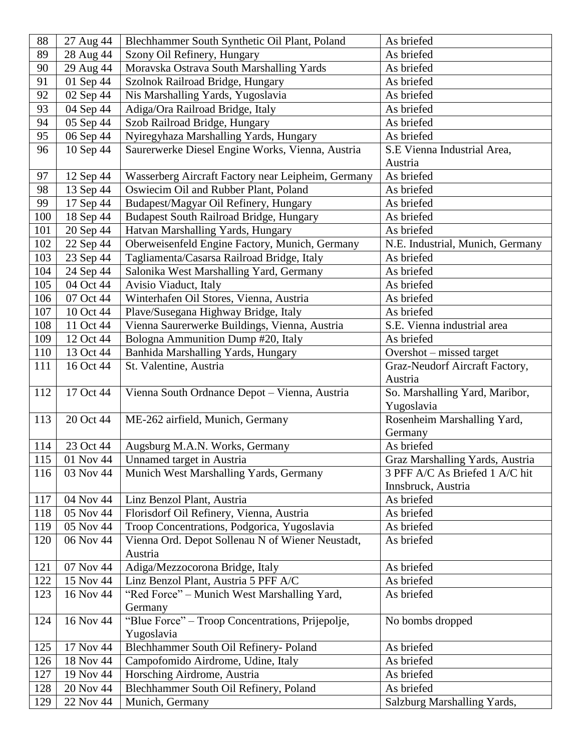| 88         | 27 Aug 44              | Blechhammer South Synthetic Oil Plant, Poland                           | As briefed                       |
|------------|------------------------|-------------------------------------------------------------------------|----------------------------------|
| 89         | 28 Aug 44              | Szony Oil Refinery, Hungary                                             | As briefed                       |
| 90         | 29 Aug 44              | Moravska Ostrava South Marshalling Yards                                | As briefed                       |
| 91         | 01 Sep 44              | Szolnok Railroad Bridge, Hungary                                        | As briefed                       |
| 92         | 02 Sep 44              | Nis Marshalling Yards, Yugoslavia                                       | As briefed                       |
| 93         | 04 Sep 44              | Adiga/Ora Railroad Bridge, Italy                                        | As briefed                       |
| 94         | 05 Sep 44              | Szob Railroad Bridge, Hungary                                           | As briefed                       |
| 95         | 06 Sep 44              | Nyiregyhaza Marshalling Yards, Hungary                                  | As briefed                       |
| 96         | 10 Sep 44              | Saurerwerke Diesel Engine Works, Vienna, Austria                        | S.E Vienna Industrial Area,      |
|            |                        |                                                                         | Austria                          |
| 97         | 12 Sep 44              | Wasserberg Aircraft Factory near Leipheim, Germany                      | As briefed                       |
| 98         | 13 Sep 44              | Oswiecim Oil and Rubber Plant, Poland                                   | As briefed                       |
| 99         | 17 Sep 44              | Budapest/Magyar Oil Refinery, Hungary                                   | As briefed                       |
| 100        | 18 Sep 44              | <b>Budapest South Railroad Bridge, Hungary</b>                          | As briefed                       |
| 101        | 20 Sep 44              | Hatvan Marshalling Yards, Hungary                                       | As briefed                       |
| 102        | 22 Sep 44              | Oberweisenfeld Engine Factory, Munich, Germany                          | N.E. Industrial, Munich, Germany |
| 103        | 23 Sep 44              | Tagliamenta/Casarsa Railroad Bridge, Italy                              | As briefed                       |
| 104        | 24 Sep 44              | Salonika West Marshalling Yard, Germany                                 | As briefed                       |
| 105        | 04 Oct 44              | Avisio Viaduct, Italy                                                   | As briefed                       |
| 106        | 07 Oct 44              | Winterhafen Oil Stores, Vienna, Austria                                 | As briefed                       |
| 107        | 10 Oct 44              | Plave/Susegana Highway Bridge, Italy                                    | As briefed                       |
| 108        | 11 Oct 44              | Vienna Saurerwerke Buildings, Vienna, Austria                           | S.E. Vienna industrial area      |
| 109        | 12 Oct 44              | Bologna Ammunition Dump #20, Italy                                      | As briefed                       |
| 110        | 13 Oct 44              | Banhida Marshalling Yards, Hungary                                      | Overshot - missed target         |
| 111        | 16 Oct 44              | St. Valentine, Austria                                                  | Graz-Neudorf Aircraft Factory,   |
|            |                        |                                                                         | Austria                          |
| 112        | 17 Oct 44              | Vienna South Ordnance Depot - Vienna, Austria                           | So. Marshalling Yard, Maribor,   |
|            |                        |                                                                         | Yugoslavia                       |
| 113        | 20 Oct 44              | ME-262 airfield, Munich, Germany                                        | Rosenheim Marshalling Yard,      |
|            |                        |                                                                         | Germany                          |
| 114        | 23 Oct 44              | Augsburg M.A.N. Works, Germany                                          | As briefed                       |
| 115        | 01 Nov 44              | Unnamed target in Austria                                               | Graz Marshalling Yards, Austria  |
| 116        | 03 Nov 44              | Munich West Marshalling Yards, Germany                                  | 3 PFF A/C As Briefed 1 A/C hit   |
|            |                        |                                                                         | Innsbruck, Austria               |
| 117        | 04 Nov 44              | Linz Benzol Plant, Austria                                              | As briefed                       |
| 118        | 05 Nov 44              | Florisdorf Oil Refinery, Vienna, Austria                                | As briefed                       |
| 119        | 05 Nov 44              | Troop Concentrations, Podgorica, Yugoslavia                             | As briefed                       |
| 120        | 06 Nov 44              | Vienna Ord. Depot Sollenau N of Wiener Neustadt,                        | As briefed                       |
|            |                        | Austria                                                                 |                                  |
| 121<br>122 | 07 Nov 44<br>15 Nov 44 | Adiga/Mezzocorona Bridge, Italy<br>Linz Benzol Plant, Austria 5 PFF A/C | As briefed<br>As briefed         |
| 123        | 16 Nov 44              |                                                                         | As briefed                       |
|            |                        | "Red Force" - Munich West Marshalling Yard,<br>Germany                  |                                  |
| 124        | 16 Nov 44              | "Blue Force" - Troop Concentrations, Prijepolje,                        | No bombs dropped                 |
|            |                        | Yugoslavia                                                              |                                  |
| 125        | 17 Nov 44              | Blechhammer South Oil Refinery- Poland                                  | As briefed                       |
| 126        | 18 Nov 44              | Campofomido Airdrome, Udine, Italy                                      | As briefed                       |
| 127        | 19 Nov 44              | Horsching Airdrome, Austria                                             | As briefed                       |
| 128        | 20 Nov 44              | Blechhammer South Oil Refinery, Poland                                  | As briefed                       |
| 129        | 22 Nov 44              | Munich, Germany                                                         | Salzburg Marshalling Yards,      |
|            |                        |                                                                         |                                  |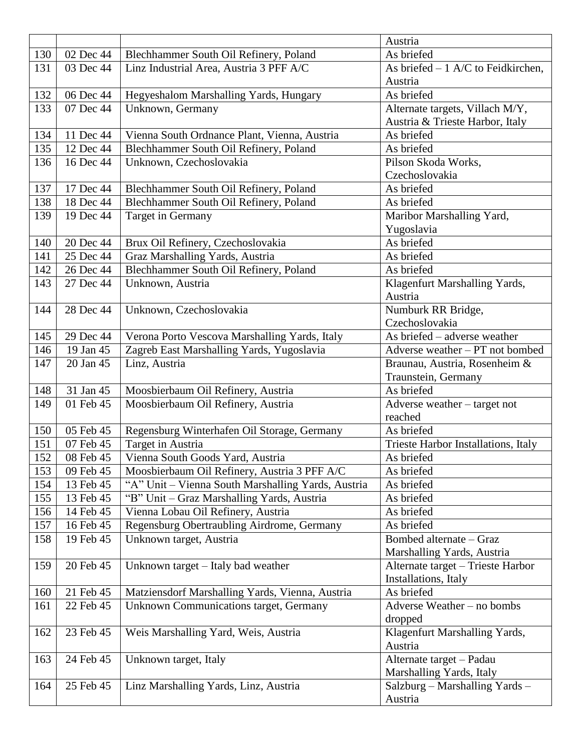|     |           |                                                    | Austria                             |
|-----|-----------|----------------------------------------------------|-------------------------------------|
| 130 | 02 Dec 44 | Blechhammer South Oil Refinery, Poland             | As briefed                          |
| 131 | 03 Dec 44 | Linz Industrial Area, Austria 3 PFF A/C            | As briefed $-1$ A/C to Feidkirchen, |
|     |           |                                                    | Austria                             |
| 132 | 06 Dec 44 | Hegyeshalom Marshalling Yards, Hungary             | As briefed                          |
| 133 | 07 Dec 44 | Unknown, Germany                                   | Alternate targets, Villach M/Y,     |
|     |           |                                                    | Austria & Trieste Harbor, Italy     |
| 134 | 11 Dec 44 | Vienna South Ordnance Plant, Vienna, Austria       | As briefed                          |
| 135 | 12 Dec 44 | Blechhammer South Oil Refinery, Poland             | As briefed                          |
| 136 | 16 Dec 44 | Unknown, Czechoslovakia                            | Pilson Skoda Works,                 |
|     |           |                                                    | Czechoslovakia                      |
| 137 | 17 Dec 44 | Blechhammer South Oil Refinery, Poland             | As briefed                          |
| 138 | 18 Dec 44 | Blechhammer South Oil Refinery, Poland             | As briefed                          |
| 139 | 19 Dec 44 | Target in Germany                                  | Maribor Marshalling Yard,           |
|     |           |                                                    | Yugoslavia                          |
| 140 | 20 Dec 44 | Brux Oil Refinery, Czechoslovakia                  | As briefed                          |
| 141 | 25 Dec 44 | Graz Marshalling Yards, Austria                    | As briefed                          |
| 142 | 26 Dec 44 | Blechhammer South Oil Refinery, Poland             | As briefed                          |
| 143 | 27 Dec 44 | Unknown, Austria                                   | Klagenfurt Marshalling Yards,       |
|     |           |                                                    | Austria                             |
| 144 | 28 Dec 44 | Unknown, Czechoslovakia                            | Numburk RR Bridge,                  |
|     |           |                                                    | Czechoslovakia                      |
| 145 | 29 Dec 44 | Verona Porto Vescova Marshalling Yards, Italy      | As briefed – adverse weather        |
| 146 | 19 Jan 45 | Zagreb East Marshalling Yards, Yugoslavia          | Adverse weather - PT not bombed     |
| 147 | 20 Jan 45 | Linz, Austria                                      | Braunau, Austria, Rosenheim &       |
|     |           |                                                    | Traunstein, Germany                 |
| 148 | 31 Jan 45 | Moosbierbaum Oil Refinery, Austria                 | As briefed                          |
| 149 | 01 Feb 45 | Moosbierbaum Oil Refinery, Austria                 | Adverse weather - target not        |
|     |           |                                                    | reached                             |
| 150 | 05 Feb 45 | Regensburg Winterhafen Oil Storage, Germany        | As briefed                          |
| 151 | 07 Feb 45 | Target in Austria                                  | Trieste Harbor Installations, Italy |
| 152 | 08 Feb 45 | Vienna South Goods Yard, Austria                   | As briefed                          |
| 153 | 09 Feb 45 | Moosbierbaum Oil Refinery, Austria 3 PFF A/C       | As briefed                          |
| 154 | 13 Feb 45 | "A" Unit - Vienna South Marshalling Yards, Austria | As briefed                          |
| 155 | 13 Feb 45 | "B" Unit - Graz Marshalling Yards, Austria         | As briefed                          |
| 156 | 14 Feb 45 | Vienna Lobau Oil Refinery, Austria                 | As briefed                          |
| 157 | 16 Feb 45 | Regensburg Obertraubling Airdrome, Germany         | As briefed                          |
| 158 | 19 Feb 45 | Unknown target, Austria                            | Bombed alternate - Graz             |
|     |           |                                                    | Marshalling Yards, Austria          |
| 159 | 20 Feb 45 | Unknown target – Italy bad weather                 | Alternate target - Trieste Harbor   |
|     |           |                                                    | Installations, Italy                |
| 160 | 21 Feb 45 | Matziensdorf Marshalling Yards, Vienna, Austria    | As briefed                          |
| 161 | 22 Feb 45 | <b>Unknown Communications target, Germany</b>      | Adverse Weather - no bombs          |
|     |           |                                                    | dropped                             |
| 162 | 23 Feb 45 | Weis Marshalling Yard, Weis, Austria               | Klagenfurt Marshalling Yards,       |
|     |           |                                                    | Austria                             |
| 163 | 24 Feb 45 | Unknown target, Italy                              | Alternate target - Padau            |
|     |           |                                                    | Marshalling Yards, Italy            |
| 164 | 25 Feb 45 | Linz Marshalling Yards, Linz, Austria              | Salzburg - Marshalling Yards -      |
|     |           |                                                    | Austria                             |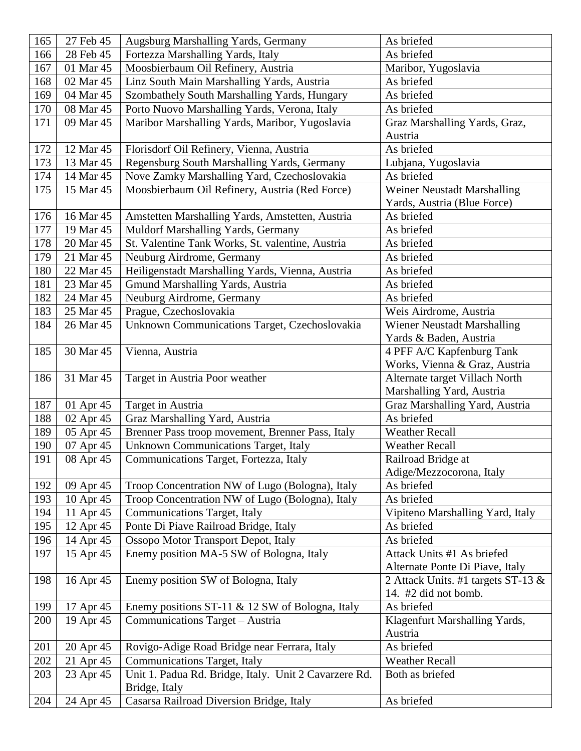| 165 | 27 Feb 45 | Augsburg Marshalling Yards, Germany                       | As briefed                         |
|-----|-----------|-----------------------------------------------------------|------------------------------------|
| 166 | 28 Feb 45 | Fortezza Marshalling Yards, Italy                         | As briefed                         |
| 167 | 01 Mar 45 | Moosbierbaum Oil Refinery, Austria                        | Maribor, Yugoslavia                |
| 168 | 02 Mar 45 | Linz South Main Marshalling Yards, Austria                | As briefed                         |
| 169 | 04 Mar 45 | Szombathely South Marshalling Yards, Hungary              | As briefed                         |
| 170 | 08 Mar 45 | Porto Nuovo Marshalling Yards, Verona, Italy              | As briefed                         |
| 171 | 09 Mar 45 | Maribor Marshalling Yards, Maribor, Yugoslavia            | Graz Marshalling Yards, Graz,      |
|     |           |                                                           | Austria                            |
| 172 | 12 Mar 45 | Florisdorf Oil Refinery, Vienna, Austria                  | As briefed                         |
| 173 | 13 Mar 45 | Regensburg South Marshalling Yards, Germany               | Lubjana, Yugoslavia                |
| 174 | 14 Mar 45 | Nove Zamky Marshalling Yard, Czechoslovakia               | As briefed                         |
| 175 | 15 Mar 45 | Moosbierbaum Oil Refinery, Austria (Red Force)            | Weiner Neustadt Marshalling        |
|     |           |                                                           | Yards, Austria (Blue Force)        |
| 176 | 16 Mar 45 | Amstetten Marshalling Yards, Amstetten, Austria           | As briefed                         |
| 177 | 19 Mar 45 | Muldorf Marshalling Yards, Germany                        | As briefed                         |
| 178 | 20 Mar 45 | St. Valentine Tank Works, St. valentine, Austria          | As briefed                         |
| 179 | 21 Mar 45 | Neuburg Airdrome, Germany                                 | As briefed                         |
| 180 | 22 Mar 45 | Heiligenstadt Marshalling Yards, Vienna, Austria          | As briefed                         |
| 181 | 23 Mar 45 | Gmund Marshalling Yards, Austria                          | As briefed                         |
| 182 | 24 Mar 45 | Neuburg Airdrome, Germany                                 | As briefed                         |
| 183 | 25 Mar 45 | Prague, Czechoslovakia                                    | Weis Airdrome, Austria             |
| 184 | 26 Mar 45 | Unknown Communications Target, Czechoslovakia             | Wiener Neustadt Marshalling        |
|     |           |                                                           | Yards & Baden, Austria             |
| 185 | 30 Mar 45 | Vienna, Austria                                           | 4 PFF A/C Kapfenburg Tank          |
|     |           |                                                           | Works, Vienna & Graz, Austria      |
| 186 | 31 Mar 45 | Target in Austria Poor weather                            | Alternate target Villach North     |
|     |           |                                                           | Marshalling Yard, Austria          |
| 187 | 01 Apr 45 | Target in Austria                                         | Graz Marshalling Yard, Austria     |
| 188 | 02 Apr 45 | Graz Marshalling Yard, Austria                            | As briefed                         |
| 189 | 05 Apr 45 | Brenner Pass troop movement, Brenner Pass, Italy          | <b>Weather Recall</b>              |
| 190 | 07 Apr 45 | Unknown Communications Target, Italy                      | <b>Weather Recall</b>              |
| 191 | 08 Apr 45 | Communications Target, Fortezza, Italy                    | Railroad Bridge at                 |
|     |           |                                                           | Adige/Mezzocorona, Italy           |
| 192 | 09 Apr 45 | Troop Concentration NW of Lugo (Bologna), Italy           | As briefed                         |
| 193 | 10 Apr 45 | Troop Concentration NW of Lugo (Bologna), Italy           | As briefed                         |
| 194 | 11 Apr 45 | <b>Communications Target, Italy</b>                       | Vipiteno Marshalling Yard, Italy   |
| 195 | 12 Apr 45 | Ponte Di Piave Railroad Bridge, Italy                     | As briefed                         |
| 196 | 14 Apr 45 | Ossopo Motor Transport Depot, Italy                       | As briefed                         |
| 197 | 15 Apr 45 | Enemy position MA-5 SW of Bologna, Italy                  | Attack Units #1 As briefed         |
|     |           |                                                           | Alternate Ponte Di Piave, Italy    |
| 198 | 16 Apr 45 | Enemy position SW of Bologna, Italy                       | 2 Attack Units. #1 targets ST-13 & |
|     |           |                                                           | 14. #2 did not bomb.               |
| 199 | 17 Apr 45 | Enemy positions ST-11 & 12 SW of Bologna, Italy           | As briefed                         |
| 200 |           |                                                           |                                    |
|     | 19 Apr 45 | Communications Target - Austria                           | Klagenfurt Marshalling Yards,      |
|     |           |                                                           | Austria                            |
| 201 | 20 Apr 45 | Rovigo-Adige Road Bridge near Ferrara, Italy              | As briefed                         |
| 202 | 21 Apr 45 | <b>Communications Target, Italy</b>                       | <b>Weather Recall</b>              |
| 203 | 23 Apr 45 | Unit 1. Padua Rd. Bridge, Italy. Unit 2 Cavarzere Rd.     | Both as briefed                    |
| 204 | 24 Apr 45 | Bridge, Italy<br>Casarsa Railroad Diversion Bridge, Italy | As briefed                         |